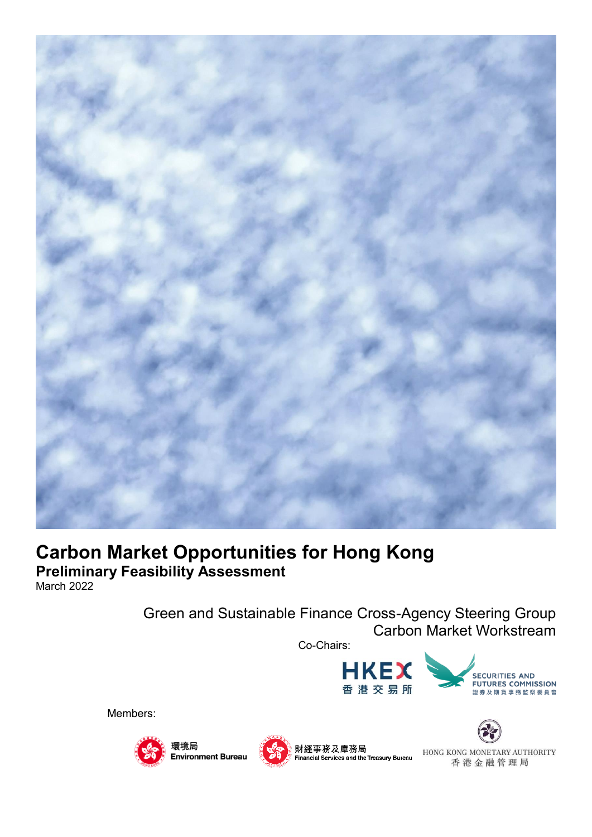

# **Carbon Market Opportunities for Hong Kong Preliminary Feasibility Assessment**

March 2022

Green and Sustainable Finance Cross-Agency Steering Group Carbon Market Workstream











HONG KONG MONETARY AUTHORITY 香港金融管理局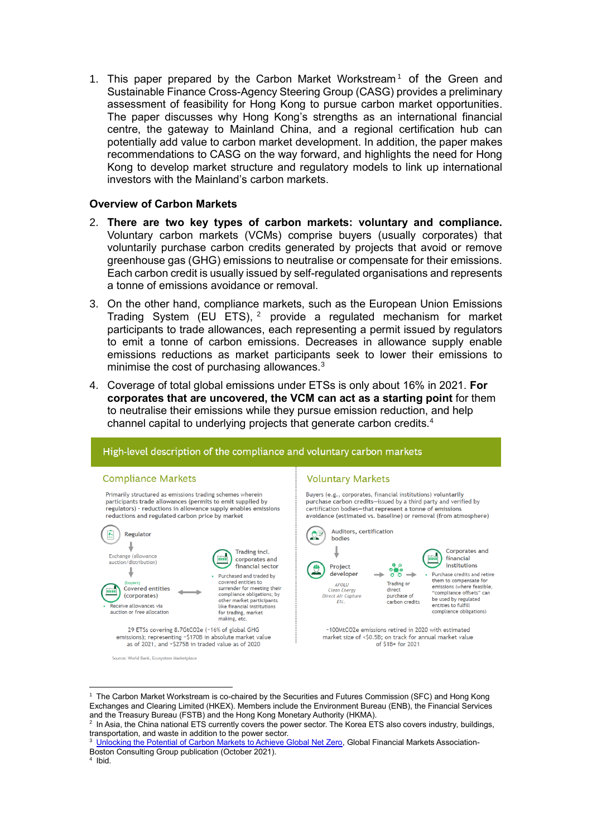1. This paper prepared by the Carbon Market Workstream<sup>1</sup> of the Green and Sustainable Finance Cross-Agency Steering Group (CASG) provides a preliminary assessment of feasibility for Hong Kong to pursue carbon market opportunities. The paper discusses why Hong Kong's strengths as an international financial centre, the gateway to Mainland China, and a regional certification hub can potentially add value to carbon market development. In addition, the paper makes recommendations to CASG on the way forward, and highlights the need for Hong Kong to develop market structure and regulatory models to link up international investors with the Mainland's carbon markets.

## **Overview of Carbon Markets**

- 2. **There are two key types of carbon markets: voluntary and compliance.** Voluntary carbon markets (VCMs) comprise buyers (usually corporates) that voluntarily purchase carbon credits generated by projects that avoid or remove greenhouse gas (GHG) emissions to neutralise or compensate for their emissions. Each carbon credit is usually issued by self-regulated organisations and represents a tonne of emissions avoidance or removal.
- 3. On the other hand, compliance markets, such as the European Union Emissions Trading System (EU ETS),  $2$  provide a regulated mechanism for market participants to trade allowances, each representing a permit issued by regulators to emit a tonne of carbon emissions. Decreases in allowance supply enable emissions reductions as market participants seek to lower their emissions to minimise the cost of purchasing allowances.<sup>3</sup>
- 4. Coverage of total global emissions under ETSs is only about 16% in 2021. **For corporates that are uncovered, the VCM can act as a starting point** for them to neutralise their emissions while they pursue emission reduction, and help channel capital to underlying projects that generate carbon credits.<sup>4</sup>



<sup>1</sup> The Carbon Market Workstream is co-chaired by the Securities and Futures Commission (SFC) and Hong Kong Exchanges and Clearing Limited (HKEX). Members include the Environment Bureau (ENB), the Financial Services and the Treasury Bureau (FSTB) and the Hong Kong Monetary Authority (HKMA).

-

<sup>&</sup>lt;sup>2</sup> In Asia, the China national ETS currently covers the power sector. The Korea ETS also covers industry, buildings, transportation, and waste in addition to the power sector.

<sup>&</sup>lt;sup>3</sup> [Unlocking the Potential of Carbon Markets to Achieve Global Net Zero,](https://www.gfma.org/wp-content/uploads/2021/10/unlocking-the-potential-of-carbon-markets-to-achieve-global-net-zero-full-report-consolidated-vfinal1.pdf) Global Financial Markets Association-Boston Consulting Group publication (October 2021).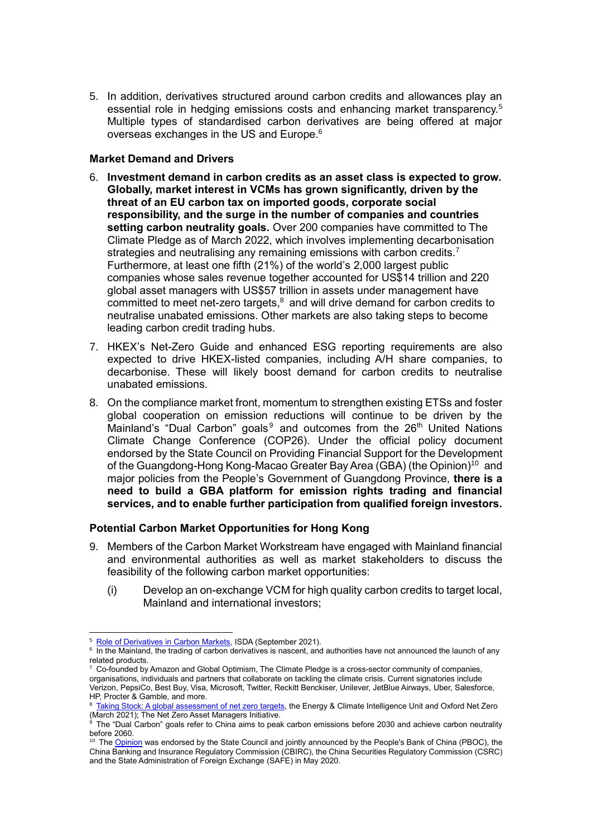5. In addition, derivatives structured around carbon credits and allowances play an essential role in hedging emissions costs and enhancing market transparency.<sup>5</sup> Multiple types of standardised carbon derivatives are being offered at major overseas exchanges in the US and Europe.<sup>6</sup>

## **Market Demand and Drivers**

- 6. **Investment demand in carbon credits as an asset class is expected to grow. Globally, market interest in VCMs has grown significantly, driven by the threat of an EU carbon tax on imported goods, corporate social responsibility, and the surge in the number of companies and countries setting carbon neutrality goals.** Over 200 companies have committed to The Climate Pledge as of March 2022, which involves implementing decarbonisation strategies and neutralising any remaining emissions with carbon credits.<sup>7</sup> Furthermore, at least one fifth (21%) of the world's 2,000 largest public companies whose sales revenue together accounted for US\$14 trillion and 220 global asset managers with US\$57 trillion in assets under management have  $\overline{\text{c}}$  committed to meet net-zero targets, $\text{8}$  and will drive demand for carbon credits to neutralise unabated emissions. Other markets are also taking steps to become leading carbon credit trading hubs.
- 7. HKEX's Net-Zero Guide and enhanced ESG reporting requirements are also expected to drive HKEX-listed companies, including A/H share companies, to decarbonise. These will likely boost demand for carbon credits to neutralise unabated emissions.
- 8. On the compliance market front, momentum to strengthen existing ETSs and foster global cooperation on emission reductions will continue to be driven by the Mainland's "Dual Carbon" goals<sup>9</sup> and outcomes from the  $26<sup>th</sup>$  United Nations Climate Change Conference (COP26). Under the official policy document endorsed by the State Council on Providing Financial Support for the Development of the Guangdong-Hong Kong-Macao Greater Bay Area (GBA) (the Opinion)<sup>10</sup> and major policies from the People's Government of Guangdong Province, **there is a need to build a GBA platform for emission rights trading and financial services, and to enable further participation from qualified foreign investors.**

# **Potential Carbon Market Opportunities for Hong Kong**

- 9. Members of the Carbon Market Workstream have engaged with Mainland financial and environmental authorities as well as market stakeholders to discuss the feasibility of the following carbon market opportunities:
	- (i) Develop an on-exchange VCM for high quality carbon credits to target local, Mainland and international investors;

<sup>-</sup><sup>5</sup> [Role of Derivatives in Carbon Markets,](https://www.isda.org/a/soigE/Role-of-Derivatives-in-Carbon-Markets.pdf) ISDA (September 2021).

<sup>&</sup>lt;sup>6</sup> In the Mainland, the trading of carbon derivatives is nascent, and authorities have not announced the launch of any related products.

 $7$  Co-founded by Amazon and Global Optimism, The Climate Pledge is a cross-sector community of companies, organisations, individuals and partners that collaborate on tackling the climate crisis. Current signatories include Verizon, PepsiCo, Best Buy, Visa, Microsoft, Twitter, Reckitt Benckiser, Unilever, JetBlue Airways, Uber, Salesforce, HP, Procter & Gamble, and more.

<sup>8</sup> [Taking Stock: A global assessment of net zero targets,](https://ca1-eci.edcdn.com/reports/ECIU-Oxford_Taking_Stock.pdf?v=1616461369) the Energy & Climate Intelligence Unit and Oxford Net Zero (March 2021); The Net Zero Asset Managers Initiative.

 $^9$  The "Dual Carbon" goals refer to China aims to peak carbon emissions before 2030 and achieve carbon neutrality before 2060.

Th[e Opinion](http://www.pbc.gov.cn/goutongjiaoliu/113456/113469/4023428/index.html) was endorsed by the State Council and jointly announced by the People's Bank of China (PBOC), the China Banking and Insurance Regulatory Commission (CBIRC), the China Securities Regulatory Commission (CSRC) and the State Administration of Foreign Exchange (SAFE) in May 2020.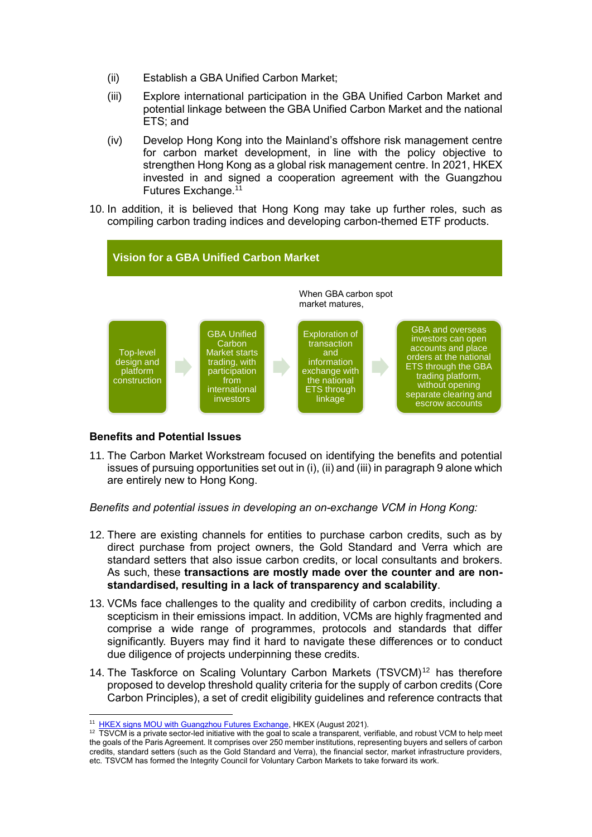- (ii) Establish a GBA Unified Carbon Market;
- (iii) Explore international participation in the GBA Unified Carbon Market and potential linkage between the GBA Unified Carbon Market and the national ETS; and
- (iv) Develop Hong Kong into the Mainland's offshore risk management centre for carbon market development, in line with the policy objective to strengthen Hong Kong as a global risk management centre. In 2021, HKEX invested in and signed a cooperation agreement with the Guangzhou Futures Exchange.<sup>11</sup>
- 10. In addition, it is believed that Hong Kong may take up further roles, such as compiling carbon trading indices and developing carbon-themed ETF products.



# **Benefits and Potential Issues**

11. The Carbon Market Workstream focused on identifying the benefits and potential issues of pursuing opportunities set out in (i), (ii) and (iii) in paragraph 9 alone which are entirely new to Hong Kong.

## *Benefits and potential issues in developing an on-exchange VCM in Hong Kong:*

- 12. There are existing channels for entities to purchase carbon credits, such as by direct purchase from project owners, the Gold Standard and Verra which are standard setters that also issue carbon credits, or local consultants and brokers. As such, these **transactions are mostly made over the counter and are nonstandardised, resulting in a lack of transparency and scalability**.
- 13. VCMs face challenges to the quality and credibility of carbon credits, including a scepticism in their emissions impact. In addition, VCMs are highly fragmented and comprise a wide range of programmes, protocols and standards that differ significantly. Buyers may find it hard to navigate these differences or to conduct due diligence of projects underpinning these credits.
- 14. The Taskforce on Scaling Voluntary Carbon Markets (TSVCM)<sup>12</sup> has therefore proposed to develop threshold quality criteria for the supply of carbon credits (Core Carbon Principles), a set of credit eligibility guidelines and reference contracts that

<sup>-</sup><sup>11</sup> [HKEX signs MOU with Guangzhou Futures Exchange,](https://www.hkex.com.hk/News/News-Release/2021/210827news?sc_lang=en#:~:text=Hong%20Kong%20Exchanges%20and%20Clearing,Kong%2DMacao%20Greater%20Bay%20Area.) HKEX (August 2021).

<sup>12</sup> TSVCM is a private sector-led initiative with the goal to scale a transparent, verifiable, and robust VCM to help meet the goals of the Paris Agreement. It comprises over 250 member institutions, representing buyers and sellers of carbon credits, standard setters (such as the Gold Standard and Verra), the financial sector, market infrastructure providers, etc. TSVCM has formed the Integrity Council for Voluntary Carbon Markets to take forward its work.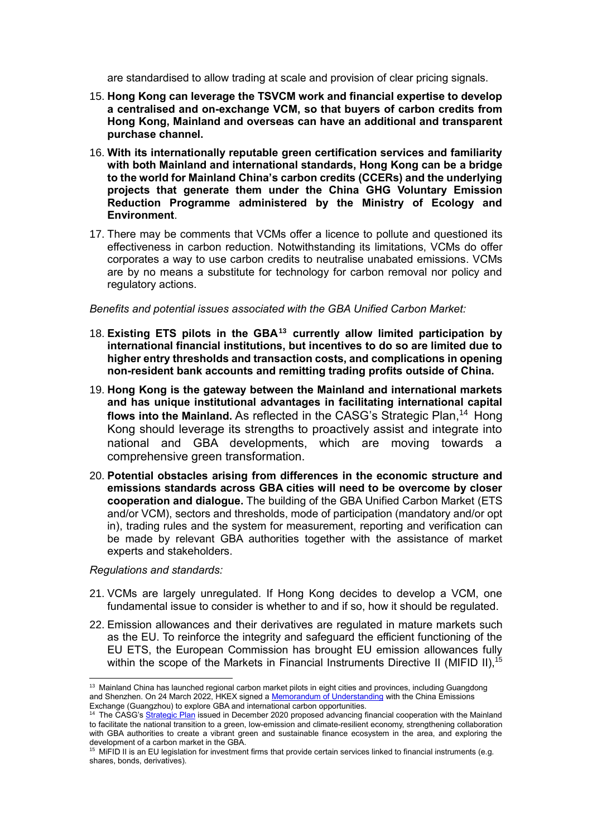are standardised to allow trading at scale and provision of clear pricing signals.

- 15. **Hong Kong can leverage the TSVCM work and financial expertise to develop a centralised and on-exchange VCM, so that buyers of carbon credits from Hong Kong, Mainland and overseas can have an additional and transparent purchase channel.**
- 16. **With its internationally reputable green certification services and familiarity with both Mainland and international standards, Hong Kong can be a bridge to the world for Mainland China's carbon credits (CCERs) and the underlying projects that generate them under the China GHG Voluntary Emission Reduction Programme administered by the Ministry of Ecology and Environment**.
- 17. There may be comments that VCMs offer a licence to pollute and questioned its effectiveness in carbon reduction. Notwithstanding its limitations, VCMs do offer corporates a way to use carbon credits to neutralise unabated emissions. VCMs are by no means a substitute for technology for carbon removal nor policy and regulatory actions.

#### *Benefits and potential issues associated with the GBA Unified Carbon Market:*

- 18. **Existing ETS pilots in the GBA<sup>13</sup> currently allow limited participation by international financial institutions, but incentives to do so are limited due to higher entry thresholds and transaction costs, and complications in opening non-resident bank accounts and remitting trading profits outside of China.**
- 19. **Hong Kong is the gateway between the Mainland and international markets and has unique institutional advantages in facilitating international capital flows into the Mainland.** As reflected in the CASG's Strategic Plan,<sup>14</sup> Hong Kong should leverage its strengths to proactively assist and integrate into national and GBA developments, which are moving towards a comprehensive green transformation.
- 20. **Potential obstacles arising from differences in the economic structure and emissions standards across GBA cities will need to be overcome by closer cooperation and dialogue.** The building of the GBA Unified Carbon Market (ETS and/or VCM), sectors and thresholds, mode of participation (mandatory and/or opt in), trading rules and the system for measurement, reporting and verification can be made by relevant GBA authorities together with the assistance of market experts and stakeholders.

#### *Regulations and standards:*

-

- 21. VCMs are largely unregulated. If Hong Kong decides to develop a VCM, one fundamental issue to consider is whether to and if so, how it should be regulated.
- 22. Emission allowances and their derivatives are regulated in mature markets such as the EU. To reinforce the integrity and safeguard the efficient functioning of the EU ETS, the European Commission has brought EU emission allowances fully within the scope of the Markets in Financial Instruments Directive II (MIFID II),<sup>15</sup>

<sup>&</sup>lt;sup>13</sup> Mainland China has launched regional carbon market pilots in eight cities and provinces, including Guangdong and Shenzhen. On 24 March 2022, HKEX signed [a Memorandum of Understanding](https://www.hkex.com.hk/News/News-Release/2022/220324news?sc_lang=en) with the China Emissions Exchange (Guangzhou) to explore GBA and international carbon opportunities.

The CASG'[s Strategic Plan](https://www.sfc.hk/-/media/EN/files/ER/Strategic-Plan-20201215-Eng.pdf) issued in December 2020 proposed advancing financial cooperation with the Mainland to facilitate the national transition to a green, low-emission and climate-resilient economy, strengthening collaboration with GBA authorities to create a vibrant green and sustainable finance ecosystem in the area, and exploring the development of a carbon market in the GBA.

<sup>&</sup>lt;sup>15</sup> MiFID II is an EU legislation for investment firms that provide certain services linked to financial instruments (e.g. shares, bonds, derivatives).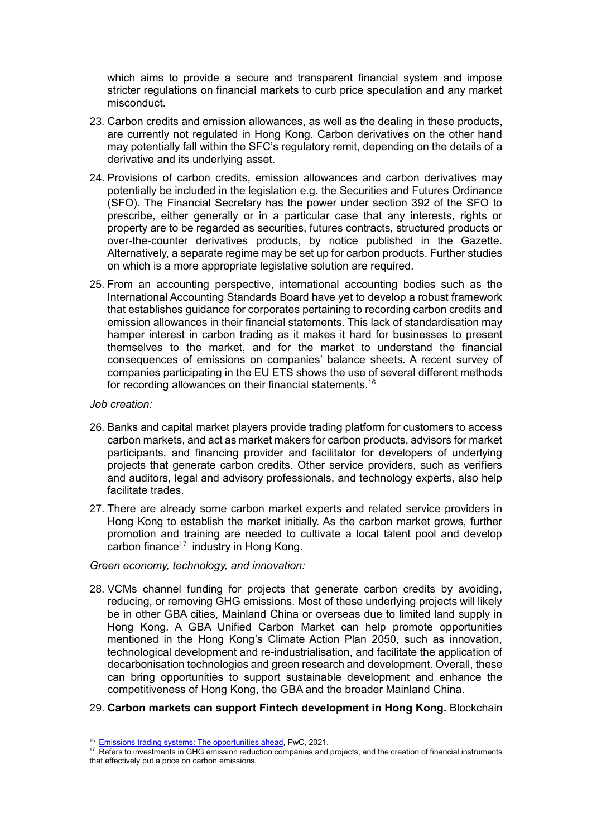which aims to provide a secure and transparent financial system and impose stricter regulations on financial markets to curb price speculation and any market misconduct.

- 23. Carbon credits and emission allowances, as well as the dealing in these products, are currently not regulated in Hong Kong. Carbon derivatives on the other hand may potentially fall within the SFC's regulatory remit, depending on the details of a derivative and its underlying asset.
- 24. Provisions of carbon credits, emission allowances and carbon derivatives may potentially be included in the legislation e.g. the Securities and Futures Ordinance (SFO). The Financial Secretary has the power under section 392 of the SFO to prescribe, either generally or in a particular case that any interests, rights or property are to be regarded as securities, futures contracts, structured products or over-the-counter derivatives products, by notice published in the Gazette. Alternatively, a separate regime may be set up for carbon products. Further studies on which is a more appropriate legislative solution are required.
- 25. From an accounting perspective, international accounting bodies such as the International Accounting Standards Board have yet to develop a robust framework that establishes guidance for corporates pertaining to recording carbon credits and emission allowances in their financial statements. This lack of standardisation may hamper interest in carbon trading as it makes it hard for businesses to present themselves to the market, and for the market to understand the financial consequences of emissions on companies' balance sheets. A recent survey of companies participating in the EU ETS shows the use of several different methods for recording allowances on their financial statements.<sup>16</sup>
- *Job creation:*

-

- 26. Banks and capital market players provide trading platform for customers to access carbon markets, and act as market makers for carbon products, advisors for market participants, and financing provider and facilitator for developers of underlying projects that generate carbon credits. Other service providers, such as verifiers and auditors, legal and advisory professionals, and technology experts, also help facilitate trades.
- 27. There are already some carbon market experts and related service providers in Hong Kong to establish the market initially. As the carbon market grows, further promotion and training are needed to cultivate a local talent pool and develop carbon finance $17$  industry in Hong Kong.

# *Green economy, technology, and innovation:*

28. VCMs channel funding for projects that generate carbon credits by avoiding, reducing, or removing GHG emissions. Most of these underlying projects will likely be in other GBA cities, Mainland China or overseas due to limited land supply in Hong Kong. A GBA Unified Carbon Market can help promote opportunities mentioned in the Hong Kong's Climate Action Plan 2050, such as innovation, technological development and re-industrialisation, and facilitate the application of decarbonisation technologies and green research and development. Overall, these can bring opportunities to support sustainable development and enhance the competitiveness of Hong Kong, the GBA and the broader Mainland China.

# 29. **Carbon markets can support Fintech development in Hong Kong.** Blockchain

<sup>&</sup>lt;sup>16</sup> [Emissions trading systems: The opportunities ahead,](https://www.pwc.com/gx/en/emissions-trading-systems/pdf/emissions-trading-systems_ieta.pdf) PwC, 2021.

<sup>&</sup>lt;sup>17</sup> Refers to investments in GHG emission reduction companies and projects, and the creation of financial instruments that effectively put a price on carbon emissions.